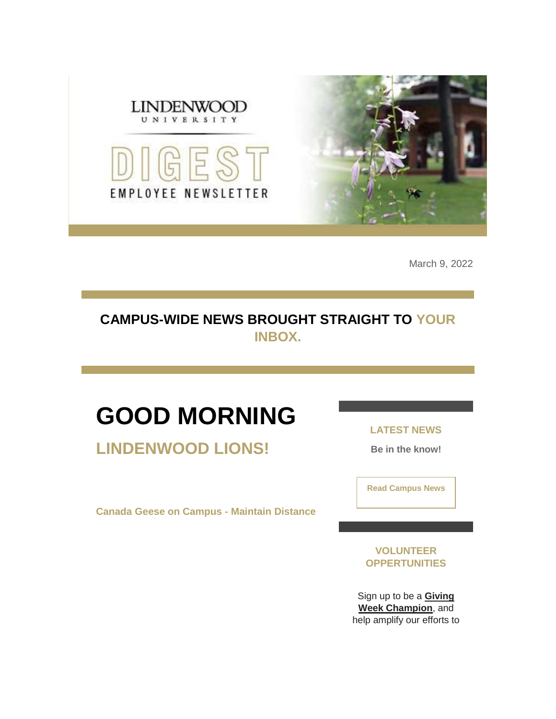

March 9, 2022

### **CAMPUS-WIDE NEWS BROUGHT STRAIGHT TO YOUR INBOX.**

# **GOOD MORNING**

**LINDENWOOD LIONS!**

**Canada Geese on Campus - Maintain Distance**

**LATEST NEWS**

**Be in the know!** 

**[Read Campus News](https://nam04.safelinks.protection.outlook.com/?url=https%3A%2F%2Fr20.rs6.net%2Ftn.jsp%3Ff%3D001lDIgERiujXOKerpUb3_ArxvJyZolvQigOmCuT1VRdCmfiqxjCISwfnpLpNnAp2LKfpFXV4Kf1Ac-J9pSLJFX_3LBzi8OZXZ1P1T1VTJJEZdq6Oab4smiX37wqej8t9INo4S3cMO-hbDxiZvwR5kpG-wnv1lyqw4Znu8irng01AQ%3D%26c%3DKBkQ9Or56q5NHa34Ok-TsxE1x93spAOzqslqeVvgaQrbitcdfjiqgA%3D%3D%26ch%3DCHKbEhz2hne828seUaBQJ0Bauk_Yknrxj1v84kpucU4sDCDCvSMM4Q%3D%3D&data=04%7C01%7Cphuffman%40lindenwood.edu%7Cb138c6a63c744c64380a08da01e1c5fa%7C3d72f08e540a4c68905d9e69c4d9c61e%7C1%7C0%7C637824366494913528%7CUnknown%7CTWFpbGZsb3d8eyJWIjoiMC4wLjAwMDAiLCJQIjoiV2luMzIiLCJBTiI6Ik1haWwiLCJXVCI6Mn0%3D%7C3000&sdata=%2FiRPjG6MXlj0YpmlFcaQ7gm3hSihnTE2%2Fg1HJAsUtVE%3D&reserved=0)**

**VOLUNTEER OPPERTUNITIES**

Sign up to be a **[Giving](https://nam04.safelinks.protection.outlook.com/?url=https%3A%2F%2Fr20.rs6.net%2Ftn.jsp%3Ff%3D001lDIgERiujXOKerpUb3_ArxvJyZolvQigOmCuT1VRdCmfiqxjCISwfhgUwITGlAuz50ZJPXyMcJljPXosaKOwbqHr8uSSJvN7a7U_8vsqGHNHZQeMIt6XSCRWq82qiiZ92frdstJOi4w1VJ9vcKOG-nf6DnyiLLHo4iZcBZP2D1DCsLELrj10i2nEGnnyBJy-wU-kNECjL9oEsregO1T22q0I97f779a-08FujJ0f8l0kkM8Pmvf9fNuCubDIbZTBbrga7liDhnX2UtVuAPBvh06bv-ZGBQSdhPWkP9mE3UoF95hm52UpvnEaRfncOp8XZFcVDISxfmtHQSFi7dYUtDV0lbFOBUh9of_xGXH7kIAwNK9nhqiR7uFEtc2epBF_5RAt8epA3ZLx23_f8qFO6SgrRDIOxM5mW31Z8duFlUHjZkuQl8aRnYtHxYVagBeBJ9CquhV-EnF2RvKuhm1sdBFcJR0N9IPSCzuy4eBdl1ZNlRRBO3tFTMMLSVSrw77Sc2-NvY90fTMadYmkPBiUfhi5fvJD-iKE8TbIEc8dc8Mw6OIvr4RuCtZpv1reLfStRtlN7AWwJsmnmj-2XRKUc6ctyzvv_aKhcjXLU9pAtvbkrtydTpU_gty-6lhglrlF__Bhuy5x9jCQKmy_mE88ii3FcErOxcnswO2WzQ4YcaK2xiSs-XX241OL0ecit8X1z6U4w_zAf20W_ASVE0het3SPKSxU8TMwb-rx_OhJQalR0q96yjVS9T8ihHlzuVVRRo41uZB2WM_2tw5J4G9V-1IExqttkj1CtN9dLwGSVZW-oICF-ujgxPCFnweYdsmZ4ls3YO5MsoLqxUlFYInB4VEivm7gb9dYdgq660ELe7Zx4RRlNP80L_j3TkXdmCMNKULUFbIqFY2TSg-CBJeAsRnIZquMt6WZvIn3xd5d7D-zn3S9xjZMr6wyDIj6IdCVz0FJbYdRgDwIYN4JnmKMuRSgNF5Mtd5lz9BnR8maY_C1TRs9wLuktfL7yxPEiU3r4PHHkOdHvYv5D4YXq3ky_T61fyHqkIwG61E4qxcLIm5Mo1FYqjwnxDcFxehmKvBWjatQfxyvt9Ze2EKkV2rUq23cE-pP4VSykI24pBVyjUej_hYkVlHl3uMtKFApnzWXLUJTF9quUN7a2AGNIW--hwQxHlmE3eMp%26c%3DKBkQ9Or56q5NHa34Ok-TsxE1x93spAOzqslqeVvgaQrbitcdfjiqgA%3D%3D%26ch%3DCHKbEhz2hne828seUaBQJ0Bauk_Yknrxj1v84kpucU4sDCDCvSMM4Q%3D%3D&data=04%7C01%7Cphuffman%40lindenwood.edu%7Cb138c6a63c744c64380a08da01e1c5fa%7C3d72f08e540a4c68905d9e69c4d9c61e%7C1%7C0%7C637824366494913528%7CUnknown%7CTWFpbGZsb3d8eyJWIjoiMC4wLjAwMDAiLCJQIjoiV2luMzIiLCJBTiI6Ik1haWwiLCJXVCI6Mn0%3D%7C3000&sdata=b%2B%2BxPEPtjWU%2FNx%2FemKakzxCQhyNTHST4fmamWvW90Ww%3D&reserved=0)  [Week Champion](https://nam04.safelinks.protection.outlook.com/?url=https%3A%2F%2Fr20.rs6.net%2Ftn.jsp%3Ff%3D001lDIgERiujXOKerpUb3_ArxvJyZolvQigOmCuT1VRdCmfiqxjCISwfhgUwITGlAuz50ZJPXyMcJljPXosaKOwbqHr8uSSJvN7a7U_8vsqGHNHZQeMIt6XSCRWq82qiiZ92frdstJOi4w1VJ9vcKOG-nf6DnyiLLHo4iZcBZP2D1DCsLELrj10i2nEGnnyBJy-wU-kNECjL9oEsregO1T22q0I97f779a-08FujJ0f8l0kkM8Pmvf9fNuCubDIbZTBbrga7liDhnX2UtVuAPBvh06bv-ZGBQSdhPWkP9mE3UoF95hm52UpvnEaRfncOp8XZFcVDISxfmtHQSFi7dYUtDV0lbFOBUh9of_xGXH7kIAwNK9nhqiR7uFEtc2epBF_5RAt8epA3ZLx23_f8qFO6SgrRDIOxM5mW31Z8duFlUHjZkuQl8aRnYtHxYVagBeBJ9CquhV-EnF2RvKuhm1sdBFcJR0N9IPSCzuy4eBdl1ZNlRRBO3tFTMMLSVSrw77Sc2-NvY90fTMadYmkPBiUfhi5fvJD-iKE8TbIEc8dc8Mw6OIvr4RuCtZpv1reLfStRtlN7AWwJsmnmj-2XRKUc6ctyzvv_aKhcjXLU9pAtvbkrtydTpU_gty-6lhglrlF__Bhuy5x9jCQKmy_mE88ii3FcErOxcnswO2WzQ4YcaK2xiSs-XX241OL0ecit8X1z6U4w_zAf20W_ASVE0het3SPKSxU8TMwb-rx_OhJQalR0q96yjVS9T8ihHlzuVVRRo41uZB2WM_2tw5J4G9V-1IExqttkj1CtN9dLwGSVZW-oICF-ujgxPCFnweYdsmZ4ls3YO5MsoLqxUlFYInB4VEivm7gb9dYdgq660ELe7Zx4RRlNP80L_j3TkXdmCMNKULUFbIqFY2TSg-CBJeAsRnIZquMt6WZvIn3xd5d7D-zn3S9xjZMr6wyDIj6IdCVz0FJbYdRgDwIYN4JnmKMuRSgNF5Mtd5lz9BnR8maY_C1TRs9wLuktfL7yxPEiU3r4PHHkOdHvYv5D4YXq3ky_T61fyHqkIwG61E4qxcLIm5Mo1FYqjwnxDcFxehmKvBWjatQfxyvt9Ze2EKkV2rUq23cE-pP4VSykI24pBVyjUej_hYkVlHl3uMtKFApnzWXLUJTF9quUN7a2AGNIW--hwQxHlmE3eMp%26c%3DKBkQ9Or56q5NHa34Ok-TsxE1x93spAOzqslqeVvgaQrbitcdfjiqgA%3D%3D%26ch%3DCHKbEhz2hne828seUaBQJ0Bauk_Yknrxj1v84kpucU4sDCDCvSMM4Q%3D%3D&data=04%7C01%7Cphuffman%40lindenwood.edu%7Cb138c6a63c744c64380a08da01e1c5fa%7C3d72f08e540a4c68905d9e69c4d9c61e%7C1%7C0%7C637824366494913528%7CUnknown%7CTWFpbGZsb3d8eyJWIjoiMC4wLjAwMDAiLCJQIjoiV2luMzIiLCJBTiI6Ik1haWwiLCJXVCI6Mn0%3D%7C3000&sdata=b%2B%2BxPEPtjWU%2FNx%2FemKakzxCQhyNTHST4fmamWvW90Ww%3D&reserved=0)**, and help amplify our efforts to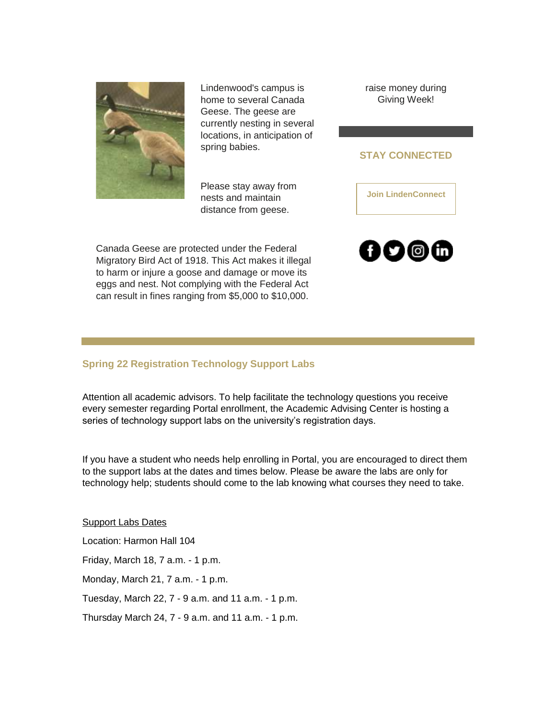

Lindenwood's campus is home to several Canada Geese. The geese are currently nesting in several locations, in anticipation of spring babies.

raise money during Giving Week!

#### **STAY CONNECTED**

**[Join LindenConnect](https://nam04.safelinks.protection.outlook.com/?url=https%3A%2F%2Fr20.rs6.net%2Ftn.jsp%3Ff%3D001lDIgERiujXOKerpUb3_ArxvJyZolvQigOmCuT1VRdCmfiqxjCISwfsXxPqybL5jVFg4lFDJLOICnhuquUzETSLH1dARFOlhlVRvXS1-ek0AVRw9BlV9ZH6fBeTzF4bjlnrPCkxyI08l-UU9DkWunoL2tsMXsBaOtcP-vvwDToqQ%3D%26c%3DKBkQ9Or56q5NHa34Ok-TsxE1x93spAOzqslqeVvgaQrbitcdfjiqgA%3D%3D%26ch%3DCHKbEhz2hne828seUaBQJ0Bauk_Yknrxj1v84kpucU4sDCDCvSMM4Q%3D%3D&data=04%7C01%7Cphuffman%40lindenwood.edu%7Cb138c6a63c744c64380a08da01e1c5fa%7C3d72f08e540a4c68905d9e69c4d9c61e%7C1%7C0%7C637824366494913528%7CUnknown%7CTWFpbGZsb3d8eyJWIjoiMC4wLjAwMDAiLCJQIjoiV2luMzIiLCJBTiI6Ik1haWwiLCJXVCI6Mn0%3D%7C3000&sdata=VpJxtcY%2FDkX%2FRiB2Yp5%2Fix1rj5x6l5SSn069bvG2Sds%3D&reserved=0)**

Please stay away from nests and maintain distance from geese.

Canada Geese are protected under the Federal Migratory Bird Act of 1918. This Act makes it illegal to harm or injure a goose and damage or move its eggs and nest. Not complying with the Federal Act can result in fines ranging from \$5,000 to \$10,000.



#### **Spring 22 Registration Technology Support Labs**

Attention all academic advisors. To help facilitate the technology questions you receive every semester regarding Portal enrollment, the Academic Advising Center is hosting a series of technology support labs on the university's registration days.

If you have a student who needs help enrolling in Portal, you are encouraged to direct them to the support labs at the dates and times below. Please be aware the labs are only for technology help; students should come to the lab knowing what courses they need to take.

Support Labs Dates

Location: Harmon Hall 104

Friday, March 18, 7 a.m. - 1 p.m.

Monday, March 21, 7 a.m. - 1 p.m.

Tuesday, March 22, 7 - 9 a.m. and 11 a.m. - 1 p.m.

Thursday March 24, 7 - 9 a.m. and 11 a.m. - 1 p.m.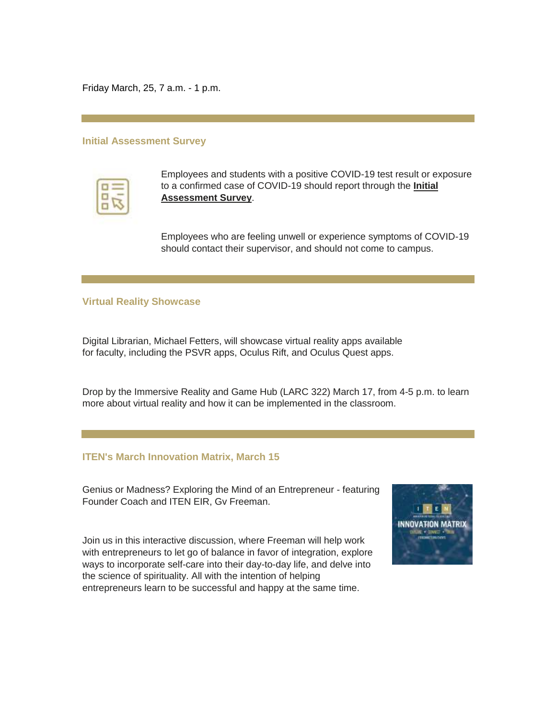Friday March, 25, 7 a.m. - 1 p.m.

#### **Initial Assessment Survey**

| the company's com-<br>$\sim$ | <b>Contractor</b>        |  |
|------------------------------|--------------------------|--|
|                              |                          |  |
| T<br>τ<br>ł<br>÷             | ═<br>₹<br>$\overline{ }$ |  |
|                              |                          |  |
| ł                            |                          |  |
| <b>START OF STRAIN</b>       |                          |  |

Employees and students with a positive COVID-19 test result or exposure to a confirmed case of COVID-19 should report through the **[Initial](https://nam04.safelinks.protection.outlook.com/?url=https%3A%2F%2Fr20.rs6.net%2Ftn.jsp%3Ff%3D001lDIgERiujXOKerpUb3_ArxvJyZolvQigOmCuT1VRdCmfiqxjCISwfmT41x20c-IblXtT4r5KASQUbzlrIgLZFMVp1_DHnPfWyYFrjcgLSdFo7hbskSjz8D0jfcf75wRgx09FHVVE4aT5tH2zOEyhkz2-L7iel8jCbHhwcHnQ0EpNShgMuMJzT4NWHz8ACT5zAcPIoHu_4Nbe0799AiHt-w%3D%3D%26c%3DKBkQ9Or56q5NHa34Ok-TsxE1x93spAOzqslqeVvgaQrbitcdfjiqgA%3D%3D%26ch%3DCHKbEhz2hne828seUaBQJ0Bauk_Yknrxj1v84kpucU4sDCDCvSMM4Q%3D%3D&data=04%7C01%7Cphuffman%40lindenwood.edu%7Cb138c6a63c744c64380a08da01e1c5fa%7C3d72f08e540a4c68905d9e69c4d9c61e%7C1%7C0%7C637824366494913528%7CUnknown%7CTWFpbGZsb3d8eyJWIjoiMC4wLjAwMDAiLCJQIjoiV2luMzIiLCJBTiI6Ik1haWwiLCJXVCI6Mn0%3D%7C3000&sdata=046lDV5onoo3v2YRAdWuOmW5O%2FjZfkiogrwjwzCgKoo%3D&reserved=0)  [Assessment Survey](https://nam04.safelinks.protection.outlook.com/?url=https%3A%2F%2Fr20.rs6.net%2Ftn.jsp%3Ff%3D001lDIgERiujXOKerpUb3_ArxvJyZolvQigOmCuT1VRdCmfiqxjCISwfmT41x20c-IblXtT4r5KASQUbzlrIgLZFMVp1_DHnPfWyYFrjcgLSdFo7hbskSjz8D0jfcf75wRgx09FHVVE4aT5tH2zOEyhkz2-L7iel8jCbHhwcHnQ0EpNShgMuMJzT4NWHz8ACT5zAcPIoHu_4Nbe0799AiHt-w%3D%3D%26c%3DKBkQ9Or56q5NHa34Ok-TsxE1x93spAOzqslqeVvgaQrbitcdfjiqgA%3D%3D%26ch%3DCHKbEhz2hne828seUaBQJ0Bauk_Yknrxj1v84kpucU4sDCDCvSMM4Q%3D%3D&data=04%7C01%7Cphuffman%40lindenwood.edu%7Cb138c6a63c744c64380a08da01e1c5fa%7C3d72f08e540a4c68905d9e69c4d9c61e%7C1%7C0%7C637824366494913528%7CUnknown%7CTWFpbGZsb3d8eyJWIjoiMC4wLjAwMDAiLCJQIjoiV2luMzIiLCJBTiI6Ik1haWwiLCJXVCI6Mn0%3D%7C3000&sdata=046lDV5onoo3v2YRAdWuOmW5O%2FjZfkiogrwjwzCgKoo%3D&reserved=0)**.

Employees who are feeling unwell or experience symptoms of COVID-19 should contact their supervisor, and should not come to campus.

#### **Virtual Reality Showcase**

Digital Librarian, Michael Fetters, will showcase virtual reality apps available for faculty, including the PSVR apps, Oculus Rift, and Oculus Quest apps.

Drop by the Immersive Reality and Game Hub (LARC 322) March 17, from 4-5 p.m. to learn more about virtual reality and how it can be implemented in the classroom.

#### **ITEN's March Innovation Matrix, March 15**

Genius or Madness? Exploring the Mind of an Entrepreneur - featuring Founder Coach and ITEN EIR, Gv Freeman.

Join us in this interactive discussion, where Freeman will help work with entrepreneurs to let go of balance in favor of integration, explore ways to incorporate self-care into their day-to-day life, and delve into the science of spirituality. All with the intention of helping entrepreneurs learn to be successful and happy at the same time.

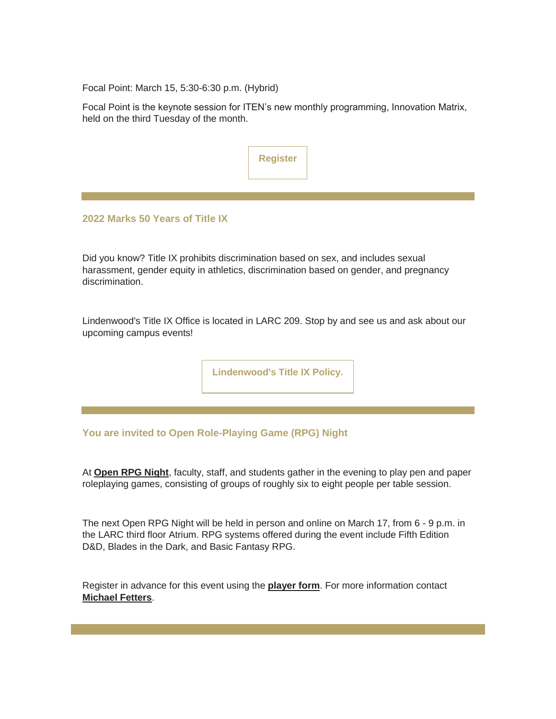Focal Point: March 15, 5:30-6:30 p.m. (Hybrid)

Focal Point is the keynote session for ITEN's new monthly programming, Innovation Matrix, held on the third Tuesday of the month.

| Register |  |
|----------|--|
|          |  |
|          |  |
|          |  |

#### **2022 Marks 50 Years of Title IX**

Did you know? Title IX prohibits discrimination based on sex, and includes sexual harassment, gender equity in athletics, discrimination based on gender, and pregnancy discrimination.

Lindenwood's Title IX Office is located in LARC 209. Stop by and see us and ask about our upcoming campus events!

**[Lindenwood's Title IX Policy.](https://nam04.safelinks.protection.outlook.com/?url=https%3A%2F%2Fr20.rs6.net%2Ftn.jsp%3Ff%3D001lDIgERiujXOKerpUb3_ArxvJyZolvQigOmCuT1VRdCmfiqxjCISwfm01AFqbM63FFAPB0RrdPF4LMuDF0IAIs13eNP9nTiak2SIT8hZDmm2MXDeUqO7BYnOxjsHr-U5PwFSL8ERRU2vyWmDQ2E46qVMU_L1rpsEMJGBQwhy9Zn4xEEQyQ-8DHA%3D%3D%26c%3DKBkQ9Or56q5NHa34Ok-TsxE1x93spAOzqslqeVvgaQrbitcdfjiqgA%3D%3D%26ch%3DCHKbEhz2hne828seUaBQJ0Bauk_Yknrxj1v84kpucU4sDCDCvSMM4Q%3D%3D&data=04%7C01%7Cphuffman%40lindenwood.edu%7Cb138c6a63c744c64380a08da01e1c5fa%7C3d72f08e540a4c68905d9e69c4d9c61e%7C1%7C0%7C637824366494913528%7CUnknown%7CTWFpbGZsb3d8eyJWIjoiMC4wLjAwMDAiLCJQIjoiV2luMzIiLCJBTiI6Ik1haWwiLCJXVCI6Mn0%3D%7C3000&sdata=r0ahvpNICp7JS9TOCySWSvgzMl2DLyrW5UaesJtEvOQ%3D&reserved=0)**

**You are invited to Open Role-Playing Game (RPG) Night**

At **[Open RPG Night](https://nam04.safelinks.protection.outlook.com/?url=https%3A%2F%2Fr20.rs6.net%2Ftn.jsp%3Ff%3D001lDIgERiujXOKerpUb3_ArxvJyZolvQigOmCuT1VRdCmfiqxjCISwfhgUwITGlAuzzhl7gRpPs5cUKuHAabSzjFl9rqDJiuEcpR2nHD-0pz83vtFTDuwnHeHSKFtoLzuHtnm8KR4joAns3hp18hcmE_0H7CiVslyFNRFAiuOI1ca3fEqFToH29hVLtFImpsVsffZO6jr66qUauTb2O4pZqo1BYzmaZCAXJ6IpE_jCi4Zii1B4j3DWdoLuEnjJC_SZ%26c%3DKBkQ9Or56q5NHa34Ok-TsxE1x93spAOzqslqeVvgaQrbitcdfjiqgA%3D%3D%26ch%3DCHKbEhz2hne828seUaBQJ0Bauk_Yknrxj1v84kpucU4sDCDCvSMM4Q%3D%3D&data=04%7C01%7Cphuffman%40lindenwood.edu%7Cb138c6a63c744c64380a08da01e1c5fa%7C3d72f08e540a4c68905d9e69c4d9c61e%7C1%7C0%7C637824366494913528%7CUnknown%7CTWFpbGZsb3d8eyJWIjoiMC4wLjAwMDAiLCJQIjoiV2luMzIiLCJBTiI6Ik1haWwiLCJXVCI6Mn0%3D%7C3000&sdata=8jjW01Faj9BaUe2bqCDtD5IYS4kmqGW6uXsK3ZNPs78%3D&reserved=0)**, faculty, staff, and students gather in the evening to play pen and paper roleplaying games, consisting of groups of roughly six to eight people per table session.

The next Open RPG Night will be held in person and online on March 17, from 6 - 9 p.m. in the LARC third floor Atrium. RPG systems offered during the event include Fifth Edition D&D, Blades in the Dark, and Basic Fantasy RPG.

Register in advance for this event using the **[player form](https://nam04.safelinks.protection.outlook.com/?url=https%3A%2F%2Fr20.rs6.net%2Ftn.jsp%3Ff%3D001lDIgERiujXOKerpUb3_ArxvJyZolvQigOmCuT1VRdCmfiqxjCISwfhgUwITGlAuz2t3s-Pg7A54Zc2whwlVfRSNxtKj8QigGph3gUPrtOqCdt_NgnirXYuB34gtPRivydUZGmVzK9KuG_WqkLyfQmha3NlNUg30vT7IriTJQeku43ke-zhrlofiS7Nma0SFf5XbN1GnZQZWBTTHt-Z4a7NTRJhRvQ7GozPeZ0VF0dHc5KyUdtNaoTzKU-R9e6VWPxi9TBf6OSXeDekbWepEgUqE5B3NEcsJX%26c%3DKBkQ9Or56q5NHa34Ok-TsxE1x93spAOzqslqeVvgaQrbitcdfjiqgA%3D%3D%26ch%3DCHKbEhz2hne828seUaBQJ0Bauk_Yknrxj1v84kpucU4sDCDCvSMM4Q%3D%3D&data=04%7C01%7Cphuffman%40lindenwood.edu%7Cb138c6a63c744c64380a08da01e1c5fa%7C3d72f08e540a4c68905d9e69c4d9c61e%7C1%7C0%7C637824366495069755%7CUnknown%7CTWFpbGZsb3d8eyJWIjoiMC4wLjAwMDAiLCJQIjoiV2luMzIiLCJBTiI6Ik1haWwiLCJXVCI6Mn0%3D%7C3000&sdata=Dm3rQfZrzaP8s7VKCifK9aBGM6Vym331%2Foo8LGC7a50%3D&reserved=0)**. For more information contact **[Michael Fetters](mailto:mfetters@lindenwood.edu)**.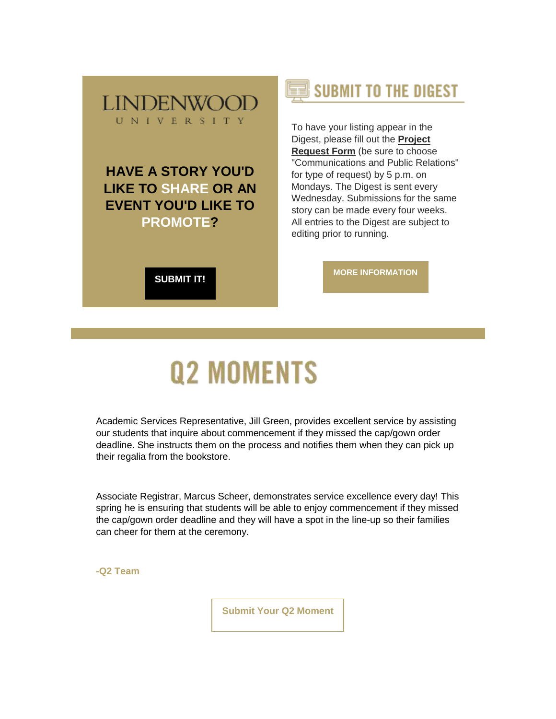

## **HAVE A STORY YOU'D LIKE TO SHARE OR AN EVENT YOU'D LIKE TO PROMOTE?**

**[SUBMIT IT!](https://nam04.safelinks.protection.outlook.com/?url=https%3A%2F%2Fr20.rs6.net%2Ftn.jsp%3Ff%3D001lDIgERiujXOKerpUb3_ArxvJyZolvQigOmCuT1VRdCmfiqxjCISwfpubD3olbKuVW1selxtfe_gz06MGdFVJbxQ27QfNg8cJtypidMaS5lXyAIQ2hUJ86-M-PnyYLhUjEDUjYD5fawBZ61reERUmjcnKVbUTcGXd41igiuyEVTIBsy-HFYK5mMOFLPap0QLhZ6x27WoJzRpoXJ1po_pfq9gdLnf4C_1m%26c%3DKBkQ9Or56q5NHa34Ok-TsxE1x93spAOzqslqeVvgaQrbitcdfjiqgA%3D%3D%26ch%3DCHKbEhz2hne828seUaBQJ0Bauk_Yknrxj1v84kpucU4sDCDCvSMM4Q%3D%3D&data=04%7C01%7Cphuffman%40lindenwood.edu%7Cb138c6a63c744c64380a08da01e1c5fa%7C3d72f08e540a4c68905d9e69c4d9c61e%7C1%7C0%7C637824366495069755%7CUnknown%7CTWFpbGZsb3d8eyJWIjoiMC4wLjAwMDAiLCJQIjoiV2luMzIiLCJBTiI6Ik1haWwiLCJXVCI6Mn0%3D%7C3000&sdata=3%2FfNexUo%2FM1QwjWDcs5lmqDtqBz2mgXGW3p9C08Ptcc%3D&reserved=0)**



To have your listing appear in the Digest, please fill out the **[Project](https://nam04.safelinks.protection.outlook.com/?url=https%3A%2F%2Fr20.rs6.net%2Ftn.jsp%3Ff%3D001lDIgERiujXOKerpUb3_ArxvJyZolvQigOmCuT1VRdCmfiqxjCISwfpubD3olbKuVW1selxtfe_gz06MGdFVJbxQ27QfNg8cJtypidMaS5lXyAIQ2hUJ86-M-PnyYLhUjEDUjYD5fawBZ61reERUmjcnKVbUTcGXd41igiuyEVTIBsy-HFYK5mMOFLPap0QLhZ6x27WoJzRpoXJ1po_pfq9gdLnf4C_1m%26c%3DKBkQ9Or56q5NHa34Ok-TsxE1x93spAOzqslqeVvgaQrbitcdfjiqgA%3D%3D%26ch%3DCHKbEhz2hne828seUaBQJ0Bauk_Yknrxj1v84kpucU4sDCDCvSMM4Q%3D%3D&data=04%7C01%7Cphuffman%40lindenwood.edu%7Cb138c6a63c744c64380a08da01e1c5fa%7C3d72f08e540a4c68905d9e69c4d9c61e%7C1%7C0%7C637824366495069755%7CUnknown%7CTWFpbGZsb3d8eyJWIjoiMC4wLjAwMDAiLCJQIjoiV2luMzIiLCJBTiI6Ik1haWwiLCJXVCI6Mn0%3D%7C3000&sdata=3%2FfNexUo%2FM1QwjWDcs5lmqDtqBz2mgXGW3p9C08Ptcc%3D&reserved=0)  [Request Form](https://nam04.safelinks.protection.outlook.com/?url=https%3A%2F%2Fr20.rs6.net%2Ftn.jsp%3Ff%3D001lDIgERiujXOKerpUb3_ArxvJyZolvQigOmCuT1VRdCmfiqxjCISwfpubD3olbKuVW1selxtfe_gz06MGdFVJbxQ27QfNg8cJtypidMaS5lXyAIQ2hUJ86-M-PnyYLhUjEDUjYD5fawBZ61reERUmjcnKVbUTcGXd41igiuyEVTIBsy-HFYK5mMOFLPap0QLhZ6x27WoJzRpoXJ1po_pfq9gdLnf4C_1m%26c%3DKBkQ9Or56q5NHa34Ok-TsxE1x93spAOzqslqeVvgaQrbitcdfjiqgA%3D%3D%26ch%3DCHKbEhz2hne828seUaBQJ0Bauk_Yknrxj1v84kpucU4sDCDCvSMM4Q%3D%3D&data=04%7C01%7Cphuffman%40lindenwood.edu%7Cb138c6a63c744c64380a08da01e1c5fa%7C3d72f08e540a4c68905d9e69c4d9c61e%7C1%7C0%7C637824366495069755%7CUnknown%7CTWFpbGZsb3d8eyJWIjoiMC4wLjAwMDAiLCJQIjoiV2luMzIiLCJBTiI6Ik1haWwiLCJXVCI6Mn0%3D%7C3000&sdata=3%2FfNexUo%2FM1QwjWDcs5lmqDtqBz2mgXGW3p9C08Ptcc%3D&reserved=0)** (be sure to choose "Communications and Public Relations" for type of request) by 5 p.m. on Mondays. The Digest is sent every Wednesday. Submissions for the same story can be made every four weeks. All entries to the Digest are subject to editing prior to running.

**[MORE INFORMATION](https://nam04.safelinks.protection.outlook.com/?url=https%3A%2F%2Fr20.rs6.net%2Ftn.jsp%3Ff%3D001lDIgERiujXOKerpUb3_ArxvJyZolvQigOmCuT1VRdCmfiqxjCISwfnpLpNnAp2LKc_e8sxaBVYY4eba79_RHSm4EUqkIQloxc3PsWj0E841lm6LPnMlksK2TYGIXuY2zQF7ka0t3mz14qKEdKPWDaaF91u91zj0NWVy_pRCli_ayZ5l5dhSLbVaI8pbrcMO_X0vw8UTHV4b6sJdtxog8ywumFzjXatsDvJqtgvI9vLPikSUwc9azAQ%3D%3D%26c%3DKBkQ9Or56q5NHa34Ok-TsxE1x93spAOzqslqeVvgaQrbitcdfjiqgA%3D%3D%26ch%3DCHKbEhz2hne828seUaBQJ0Bauk_Yknrxj1v84kpucU4sDCDCvSMM4Q%3D%3D&data=04%7C01%7Cphuffman%40lindenwood.edu%7Cb138c6a63c744c64380a08da01e1c5fa%7C3d72f08e540a4c68905d9e69c4d9c61e%7C1%7C0%7C637824366495069755%7CUnknown%7CTWFpbGZsb3d8eyJWIjoiMC4wLjAwMDAiLCJQIjoiV2luMzIiLCJBTiI6Ik1haWwiLCJXVCI6Mn0%3D%7C3000&sdata=G8gESltqrF6f%2F2oFiJ7Wcls1HBkIZkho2vTVvgiWS%2Fs%3D&reserved=0)**

# **Q2 MOMENTS**

Academic Services Representative, Jill Green, provides excellent service by assisting our students that inquire about commencement if they missed the cap/gown order deadline. She instructs them on the process and notifies them when they can pick up their regalia from the bookstore.

Associate Registrar, Marcus Scheer, demonstrates service excellence every day! This spring he is ensuring that students will be able to enjoy commencement if they missed the cap/gown order deadline and they will have a spot in the line-up so their families can cheer for them at the ceremony.

**-Q2 Team**

**[Submit Your Q2 Moment](https://nam04.safelinks.protection.outlook.com/?url=https%3A%2F%2Fr20.rs6.net%2Ftn.jsp%3Ff%3D001lDIgERiujXOKerpUb3_ArxvJyZolvQigOmCuT1VRdCmfiqxjCISwfnpLpNnAp2LKZd_Thz1USSmD0kmpQu3-i9FSHXo2nS5KhW0wqC3D8TplhGe2-Fg6CfnTSa_X5l0904JadUJ2jfHTFMVFxPr9c8lSN11wM_r81rAUj4QticDZ1rdRhKmAHTSAzKDshKLcvTwvo_AvJzJVWS0tv5INZ9YkJ0JMQcvEMKKm02A5m0RCAFpPuvCRXDIaZ4n8ZSWUOirLrE8ddU9_O7Ph0QOxiA%3D%3D%26c%3DKBkQ9Or56q5NHa34Ok-TsxE1x93spAOzqslqeVvgaQrbitcdfjiqgA%3D%3D%26ch%3DCHKbEhz2hne828seUaBQJ0Bauk_Yknrxj1v84kpucU4sDCDCvSMM4Q%3D%3D&data=04%7C01%7Cphuffman%40lindenwood.edu%7Cb138c6a63c744c64380a08da01e1c5fa%7C3d72f08e540a4c68905d9e69c4d9c61e%7C1%7C0%7C637824366495069755%7CUnknown%7CTWFpbGZsb3d8eyJWIjoiMC4wLjAwMDAiLCJQIjoiV2luMzIiLCJBTiI6Ik1haWwiLCJXVCI6Mn0%3D%7C3000&sdata=eRYHxZvxzegTVpWgt5PYOtw4HGmKEFxihtnZ7bffJFM%3D&reserved=0)**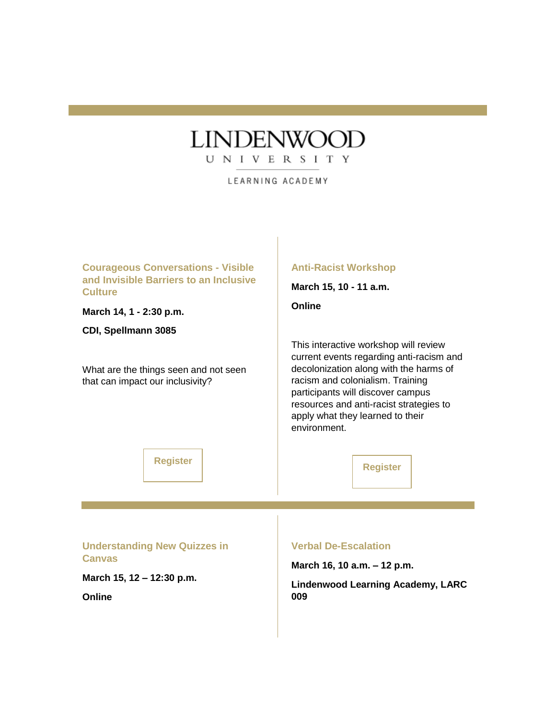## **LINDENWOOD**

UNIVERSITY

LEARNING ACADEMY

**Courageous Conversations - Visible and Invisible Barriers to an Inclusive Culture March 14, 1 - 2:30 p.m. CDI, Spellmann 3085** What are the things seen and not seen that can impact our inclusivity? **[Register](https://nam04.safelinks.protection.outlook.com/?url=https%3A%2F%2Fr20.rs6.net%2Ftn.jsp%3Ff%3D001lDIgERiujXOKerpUb3_ArxvJyZolvQigOmCuT1VRdCmfiqxjCISwfoHo4QaWC3ODTAMs7pOsWYaaaZmr5RcJCb7JRSkzXoQsk2kwSN1Km03cfADJRJaLXGFOSiiPRzW7Bq3R9cfONR2dzJll-hzeu90bh3p3hGw9UM_87RBlPrWurNZwMa4JaUyxv0JtqoNp%26c%3DKBkQ9Or56q5NHa34Ok-TsxE1x93spAOzqslqeVvgaQrbitcdfjiqgA%3D%3D%26ch%3DCHKbEhz2hne828seUaBQJ0Bauk_Yknrxj1v84kpucU4sDCDCvSMM4Q%3D%3D&data=04%7C01%7Cphuffman%40lindenwood.edu%7Cb138c6a63c744c64380a08da01e1c5fa%7C3d72f08e540a4c68905d9e69c4d9c61e%7C1%7C0%7C637824366495069755%7CUnknown%7CTWFpbGZsb3d8eyJWIjoiMC4wLjAwMDAiLCJQIjoiV2luMzIiLCJBTiI6Ik1haWwiLCJXVCI6Mn0%3D%7C3000&sdata=%2BmwAJkEiVjpVgW5q33srNM7Bb2oJJmcMLwK1c3ozPLk%3D&reserved=0) Anti-Racist Workshop March 15, 10 - 11 a.m. Online** This interactive workshop will review current events regarding anti-racism and decolonization along with the harms of racism and colonialism. Training participants will discover campus resources and anti-racist strategies to apply what they learned to their environment. **[Register](https://nam04.safelinks.protection.outlook.com/?url=https%3A%2F%2Fr20.rs6.net%2Ftn.jsp%3Ff%3D001lDIgERiujXOKerpUb3_ArxvJyZolvQigOmCuT1VRdCmfiqxjCISwfgXjGYRe6R_BP1TI3fnJNOW2LiL9JXkuRvS_GngpZBwxV_VctH8m5P6_-c4WeXTc7FwrSuOqamRQnHKkxOqKkv_MY3ECX1S5gnXYrFWOqU9-8qWyt7s_9cXYVUkldOySBQ%3D%3D%26c%3DKBkQ9Or56q5NHa34Ok-TsxE1x93spAOzqslqeVvgaQrbitcdfjiqgA%3D%3D%26ch%3DCHKbEhz2hne828seUaBQJ0Bauk_Yknrxj1v84kpucU4sDCDCvSMM4Q%3D%3D&data=04%7C01%7Cphuffman%40lindenwood.edu%7Cb138c6a63c744c64380a08da01e1c5fa%7C3d72f08e540a4c68905d9e69c4d9c61e%7C1%7C0%7C637824366495069755%7CUnknown%7CTWFpbGZsb3d8eyJWIjoiMC4wLjAwMDAiLCJQIjoiV2luMzIiLCJBTiI6Ik1haWwiLCJXVCI6Mn0%3D%7C3000&sdata=Ly4kaL4qJsRTju0nbKhDEWhhotXV5zN8x5i0cpPqhig%3D&reserved=0) Understanding New Quizzes in Canvas March 15, 12 – 12:30 p.m. Online Verbal De-Escalation March 16, 10 a.m. – 12 p.m. Lindenwood Learning Academy, LARC 009**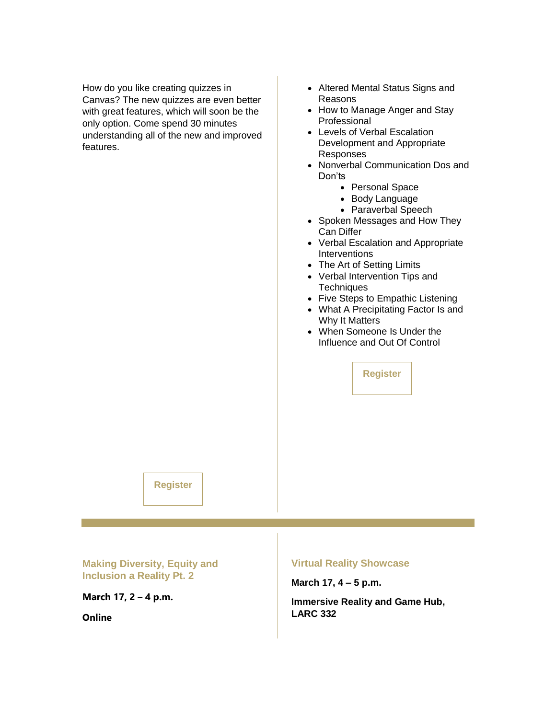How do you like creating quizzes in Canvas? The new quizzes are even better with great features, which will soon be the only option. Come spend 30 minutes understanding all of the new and improved features.

- Altered Mental Status Signs and Reasons
- How to Manage Anger and Stay Professional
- Levels of Verbal Escalation Development and Appropriate Responses
- Nonverbal Communication Dos and Don'ts
	- Personal Space
	- Body Language
	- Paraverbal Speech
- Spoken Messages and How They Can Differ
- Verbal Escalation and Appropriate **Interventions**
- The Art of Setting Limits
- Verbal Intervention Tips and **Techniques**
- Five Steps to Empathic Listening
- What A Precipitating Factor Is and Why It Matters
- When Someone Is Under the Influence and Out Of Control

**[Register](https://nam04.safelinks.protection.outlook.com/?url=https%3A%2F%2Fr20.rs6.net%2Ftn.jsp%3Ff%3D001lDIgERiujXOKerpUb3_ArxvJyZolvQigOmCuT1VRdCmfiqxjCISwfhgUwITGlAuz2E4ZBAh6IBePPZDyeBYr6hw8kdyZeMmXEgddrj8bluRTOsKGK5FLdAIJFELucZ1Gt3pyGy0Vj0DRGLkVkQmDDE4VeueN1WytE14pPfq0YqYg0RsUxI66BA%3D%3D%26c%3DKBkQ9Or56q5NHa34Ok-TsxE1x93spAOzqslqeVvgaQrbitcdfjiqgA%3D%3D%26ch%3DCHKbEhz2hne828seUaBQJ0Bauk_Yknrxj1v84kpucU4sDCDCvSMM4Q%3D%3D&data=04%7C01%7Cphuffman%40lindenwood.edu%7Cb138c6a63c744c64380a08da01e1c5fa%7C3d72f08e540a4c68905d9e69c4d9c61e%7C1%7C0%7C637824366495069755%7CUnknown%7CTWFpbGZsb3d8eyJWIjoiMC4wLjAwMDAiLCJQIjoiV2luMzIiLCJBTiI6Ik1haWwiLCJXVCI6Mn0%3D%7C3000&sdata=02TArIX6NbqJDgfk3ATcX9FrSNQ12W8rItwz4IN7bAo%3D&reserved=0)**

**[Register](https://nam04.safelinks.protection.outlook.com/?url=https%3A%2F%2Fr20.rs6.net%2Ftn.jsp%3Ff%3D001lDIgERiujXOKerpUb3_ArxvJyZolvQigOmCuT1VRdCmfiqxjCISwfmzvz8c7gikihTQibDIGvx9taRlNdZdj4dl1FgPcbPZKB7g7eOH8PxJq_pH7ylSAVTe6Cf9wklm414j6N6UJNSCwW9qUDx2XgGQrnsnaQwaMatZB2v2Dllxc4fjIatB7Sg%3D%3D%26c%3DKBkQ9Or56q5NHa34Ok-TsxE1x93spAOzqslqeVvgaQrbitcdfjiqgA%3D%3D%26ch%3DCHKbEhz2hne828seUaBQJ0Bauk_Yknrxj1v84kpucU4sDCDCvSMM4Q%3D%3D&data=04%7C01%7Cphuffman%40lindenwood.edu%7Cb138c6a63c744c64380a08da01e1c5fa%7C3d72f08e540a4c68905d9e69c4d9c61e%7C1%7C0%7C637824366495069755%7CUnknown%7CTWFpbGZsb3d8eyJWIjoiMC4wLjAwMDAiLCJQIjoiV2luMzIiLCJBTiI6Ik1haWwiLCJXVCI6Mn0%3D%7C3000&sdata=8o%2FxviSX0kVvLLMlLZK8o0lcOzq%2FDAqs%2FzeZj28GaTw%3D&reserved=0)**

**Making Diversity, Equity and Inclusion a Reality Pt. 2**

**March 17, 2 – 4 p.m.**

**Online**

#### **Virtual Reality Showcase**

**March 17, 4 – 5 p.m.**

**Immersive Reality and Game Hub, LARC 332**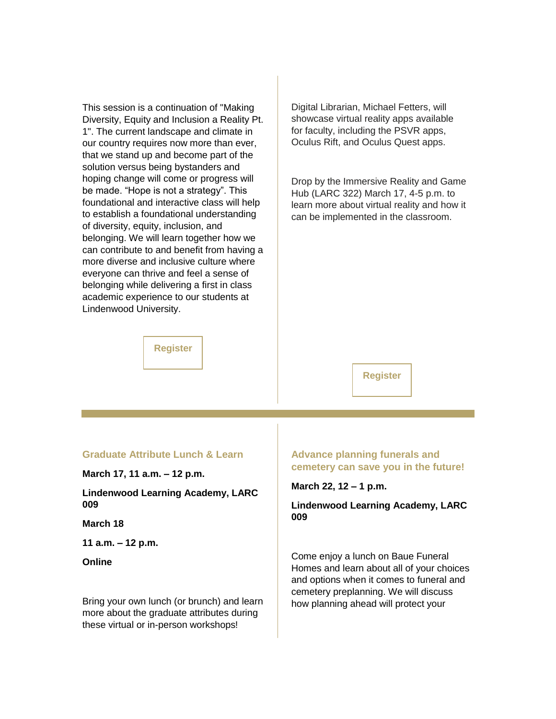This session is a continuation of "Making Diversity, Equity and Inclusion a Reality Pt. 1". The current landscape and climate in our country requires now more than ever, that we stand up and become part of the solution versus being bystanders and hoping change will come or progress will be made. "Hope is not a strategy". This foundational and interactive class will help to establish a foundational understanding of diversity, equity, inclusion, and belonging. We will learn together how we can contribute to and benefit from having a more diverse and inclusive culture where everyone can thrive and feel a sense of belonging while delivering a first in class academic experience to our students at Lindenwood University.

Digital Librarian, Michael Fetters, will showcase virtual reality apps available for faculty, including the PSVR apps, Oculus Rift, and Oculus Quest apps.

Drop by the Immersive Reality and Game Hub (LARC 322) March 17, 4-5 p.m. to learn more about virtual reality and how it can be implemented in the classroom.

#### **[Register](https://nam04.safelinks.protection.outlook.com/?url=https%3A%2F%2Fr20.rs6.net%2Ftn.jsp%3Ff%3D001lDIgERiujXOKerpUb3_ArxvJyZolvQigOmCuT1VRdCmfiqxjCISwfgXjGYRe6R_BP1TI3fnJNOW2LiL9JXkuRvS_GngpZBwxV_VctH8m5P6_-c4WeXTc7FwrSuOqamRQnHKkxOqKkv_MY3ECX1S5gnXYrFWOqU9-8qWyt7s_9cXYVUkldOySBQ%3D%3D%26c%3DKBkQ9Or56q5NHa34Ok-TsxE1x93spAOzqslqeVvgaQrbitcdfjiqgA%3D%3D%26ch%3DCHKbEhz2hne828seUaBQJ0Bauk_Yknrxj1v84kpucU4sDCDCvSMM4Q%3D%3D&data=04%7C01%7Cphuffman%40lindenwood.edu%7Cb138c6a63c744c64380a08da01e1c5fa%7C3d72f08e540a4c68905d9e69c4d9c61e%7C1%7C0%7C637824366495069755%7CUnknown%7CTWFpbGZsb3d8eyJWIjoiMC4wLjAwMDAiLCJQIjoiV2luMzIiLCJBTiI6Ik1haWwiLCJXVCI6Mn0%3D%7C3000&sdata=Ly4kaL4qJsRTju0nbKhDEWhhotXV5zN8x5i0cpPqhig%3D&reserved=0)**

#### **[Register](https://nam04.safelinks.protection.outlook.com/?url=https%3A%2F%2Fr20.rs6.net%2Ftn.jsp%3Ff%3D001lDIgERiujXOKerpUb3_ArxvJyZolvQigOmCuT1VRdCmfiqxjCISwfoHo4QaWC3OD8QslUzKFZ8X6AHdkeFu_QbxZArZ9tn7N7FM3IoU1q0i7rJWqUA3gZeTA9qfH1ptsilETJ4LVdVPpEYqYC77Lmh9Yl7zdxpwARNejUtqDTO0%3D%26c%3DKBkQ9Or56q5NHa34Ok-TsxE1x93spAOzqslqeVvgaQrbitcdfjiqgA%3D%3D%26ch%3DCHKbEhz2hne828seUaBQJ0Bauk_Yknrxj1v84kpucU4sDCDCvSMM4Q%3D%3D&data=04%7C01%7Cphuffman%40lindenwood.edu%7Cb138c6a63c744c64380a08da01e1c5fa%7C3d72f08e540a4c68905d9e69c4d9c61e%7C1%7C0%7C637824366495069755%7CUnknown%7CTWFpbGZsb3d8eyJWIjoiMC4wLjAwMDAiLCJQIjoiV2luMzIiLCJBTiI6Ik1haWwiLCJXVCI6Mn0%3D%7C3000&sdata=9AToFGH9Jknyqu2DsZydH2sngNAzhNdhLVD9MY3ihhs%3D&reserved=0)**

#### **Graduate Attribute Lunch & Learn**

**March 17, 11 a.m. – 12 p.m.**

**Lindenwood Learning Academy, LARC 009**

#### **March 18**

**11 a.m. – 12 p.m.**

**Online**

Bring your own lunch (or brunch) and learn more about the graduate attributes during these virtual or in-person workshops!

#### **Advance planning funerals and cemetery can save you in the future!**

**March 22, 12 – 1 p.m.**

#### **Lindenwood Learning Academy, LARC 009**

Come enjoy a lunch on Baue Funeral Homes and learn about all of your choices and options when it comes to funeral and cemetery preplanning. We will discuss how planning ahead will protect your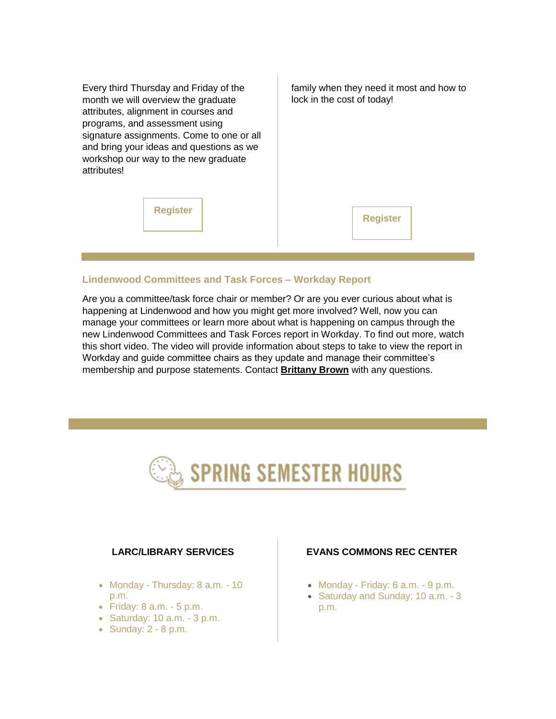Every third Thursday and Friday of the month we will overview the graduate attributes, alignment in courses and programs, and assessment using signature assignments. Come to one or all and bring your ideas and questions as we workshop our way to the new graduate attributes!

family when they need it most and how to lock in the cost of today!

**[Register](https://nam04.safelinks.protection.outlook.com/?url=https%3A%2F%2Fr20.rs6.net%2Ftn.jsp%3Ff%3D001lDIgERiujXOKerpUb3_ArxvJyZolvQigOmCuT1VRdCmfiqxjCISwftagtzhSxNoPtN28_y6fwJDVD9yzGwVXDH80PZP8Ovf6BkqDYOecPEY-6FVCgjjVf3_s6T0eEN5JitqT3gy3fI8D8axpib4lVEfRotJvwBMq5yDD51XXAKKPafqyLEOuow%3D%3D%26c%3DKBkQ9Or56q5NHa34Ok-TsxE1x93spAOzqslqeVvgaQrbitcdfjiqgA%3D%3D%26ch%3DCHKbEhz2hne828seUaBQJ0Bauk_Yknrxj1v84kpucU4sDCDCvSMM4Q%3D%3D&data=04%7C01%7Cphuffman%40lindenwood.edu%7Cb138c6a63c744c64380a08da01e1c5fa%7C3d72f08e540a4c68905d9e69c4d9c61e%7C1%7C0%7C637824366495069755%7CUnknown%7CTWFpbGZsb3d8eyJWIjoiMC4wLjAwMDAiLCJQIjoiV2luMzIiLCJBTiI6Ik1haWwiLCJXVCI6Mn0%3D%7C3000&sdata=r%2FxbGrsGR5lKVWRcVZWSTLPvSzQlPyrY5jt3YnBuanc%3D&reserved=0)**

#### **[Register](https://nam04.safelinks.protection.outlook.com/?url=https%3A%2F%2Fr20.rs6.net%2Ftn.jsp%3Ff%3D001lDIgERiujXOKerpUb3_ArxvJyZolvQigOmCuT1VRdCmfiqxjCISwfhgUwITGlAuzYLeqzlDQjlmzVgxoRlHRvZMAPQHOUnG5coD2GE0EpS4ow9nkatOjOojk4ciU6Wd8wNqg7yele4PTpIMEZ4wlUDSNAHI-NDSDZwup7md4aTbXD1VhyqYRuw%3D%3D%26c%3DKBkQ9Or56q5NHa34Ok-TsxE1x93spAOzqslqeVvgaQrbitcdfjiqgA%3D%3D%26ch%3DCHKbEhz2hne828seUaBQJ0Bauk_Yknrxj1v84kpucU4sDCDCvSMM4Q%3D%3D&data=04%7C01%7Cphuffman%40lindenwood.edu%7Cb138c6a63c744c64380a08da01e1c5fa%7C3d72f08e540a4c68905d9e69c4d9c61e%7C1%7C0%7C637824366495069755%7CUnknown%7CTWFpbGZsb3d8eyJWIjoiMC4wLjAwMDAiLCJQIjoiV2luMzIiLCJBTiI6Ik1haWwiLCJXVCI6Mn0%3D%7C3000&sdata=ByCbAYNd9Zt%2FsqjS9v6PUy4CW8bWZQglnTgfSrfW0WQ%3D&reserved=0)**

#### **Lindenwood Committees and Task Forces – Workday Report**

Are you a committee/task force chair or member? Or are you ever curious about what is happening at Lindenwood and how you might get more involved? Well, now you can manage your committees or learn more about what is happening on campus through the new Lindenwood Committees and Task Forces report in Workday. To find out more, [watch](https://nam04.safelinks.protection.outlook.com/?url=https%3A%2F%2Fr20.rs6.net%2Ftn.jsp%3Ff%3D001lDIgERiujXOKerpUb3_ArxvJyZolvQigOmCuT1VRdCmfiqxjCISwfhgUwITGlAuzvbZPqLhwgEY-xbLK5MviCTuQ2x0p4GSMBI_npIBDi514Wfy1hDtkDaEgvMjlhb-sAsG7bButFQkSZSIRm2AKndPj6mfJ8R27gdtfPuHAjM73g_-S4azIDw%3D%3D%26c%3DKBkQ9Or56q5NHa34Ok-TsxE1x93spAOzqslqeVvgaQrbitcdfjiqgA%3D%3D%26ch%3DCHKbEhz2hne828seUaBQJ0Bauk_Yknrxj1v84kpucU4sDCDCvSMM4Q%3D%3D&data=04%7C01%7Cphuffman%40lindenwood.edu%7Cb138c6a63c744c64380a08da01e1c5fa%7C3d72f08e540a4c68905d9e69c4d9c61e%7C1%7C0%7C637824366495069755%7CUnknown%7CTWFpbGZsb3d8eyJWIjoiMC4wLjAwMDAiLCJQIjoiV2luMzIiLCJBTiI6Ik1haWwiLCJXVCI6Mn0%3D%7C3000&sdata=EmHHi02UN22XeojzGxF3vp11tXht9p%2Fx2fMHJNNvt70%3D&reserved=0)  [this short video.](https://nam04.safelinks.protection.outlook.com/?url=https%3A%2F%2Fr20.rs6.net%2Ftn.jsp%3Ff%3D001lDIgERiujXOKerpUb3_ArxvJyZolvQigOmCuT1VRdCmfiqxjCISwfhgUwITGlAuzvbZPqLhwgEY-xbLK5MviCTuQ2x0p4GSMBI_npIBDi514Wfy1hDtkDaEgvMjlhb-sAsG7bButFQkSZSIRm2AKndPj6mfJ8R27gdtfPuHAjM73g_-S4azIDw%3D%3D%26c%3DKBkQ9Or56q5NHa34Ok-TsxE1x93spAOzqslqeVvgaQrbitcdfjiqgA%3D%3D%26ch%3DCHKbEhz2hne828seUaBQJ0Bauk_Yknrxj1v84kpucU4sDCDCvSMM4Q%3D%3D&data=04%7C01%7Cphuffman%40lindenwood.edu%7Cb138c6a63c744c64380a08da01e1c5fa%7C3d72f08e540a4c68905d9e69c4d9c61e%7C1%7C0%7C637824366495069755%7CUnknown%7CTWFpbGZsb3d8eyJWIjoiMC4wLjAwMDAiLCJQIjoiV2luMzIiLCJBTiI6Ik1haWwiLCJXVCI6Mn0%3D%7C3000&sdata=EmHHi02UN22XeojzGxF3vp11tXht9p%2Fx2fMHJNNvt70%3D&reserved=0) The video will provide information about steps to take to view the report in Workday and guide committee chairs as they update and manage their committee's membership and purpose statements. Contact **[Brittany Brown](mailto:BBrown@lindnewood.edu)** with any questions.



#### **LARC/LIBRARY SERVICES**

- Monday Thursday: 8 a.m. 10 p.m.
- $\bullet$  Friday: 8 a.m.  $\text{-} 5 \text{ p.m.}$
- $\bullet$  Saturday: 10 a.m.  $\text{-} 3 \text{ p.m.}$
- $\bullet$  Sunday: 2 8 p.m.

#### **EVANS COMMONS REC CENTER**

- Monday Friday: 6 a.m. 9 p.m.
- Saturday and Sunday: 10 a.m. 3 p.m.